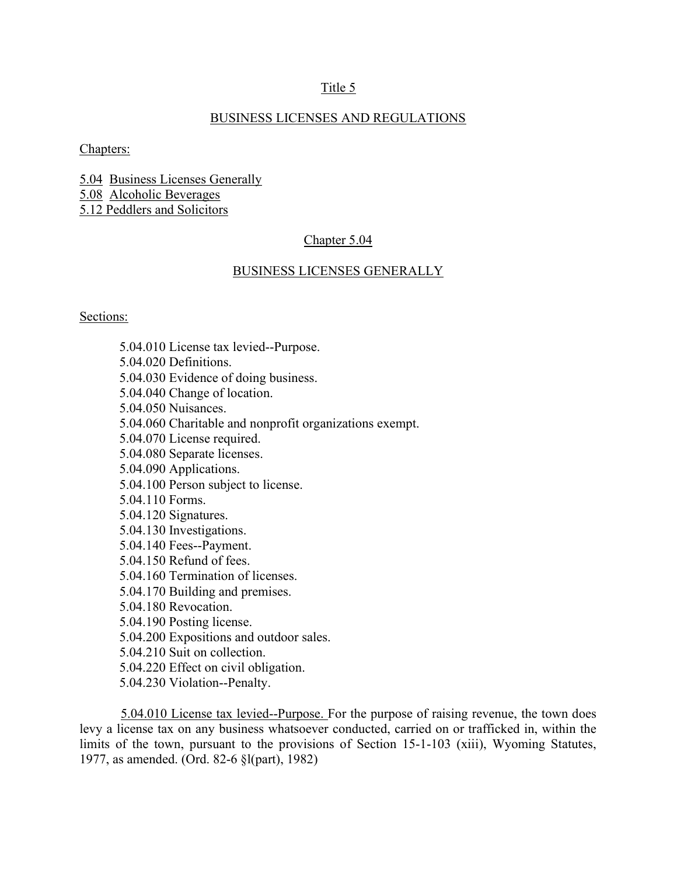## Title 5

## BUSINESS LICENSES AND REGULATIONS

Chapters:

5.04 Business Licenses Generally 5.08 Alcoholic Beverages 5.12 Peddlers and Solicitors

### Chapter 5.04

### BUSINESS LICENSES GENERALLY

#### Sections:

5.04.010 License tax levied--Purpose. 5.04.020 Definitions. 5.04.030 Evidence of doing business. 5.04.040 Change of location. 5.04.050 Nuisances. 5.04.060 Charitable and nonprofit organizations exempt. 5.04.070 License required. 5.04.080 Separate licenses. 5.04.090 Applications. 5.04.100 Person subject to license. 5.04.110 Forms. 5.04.120 Signatures. 5.04.130 Investigations. 5.04.140 Fees--Payment. 5.04.150 Refund of fees. 5.04.160 Termination of licenses. 5.04.170 Building and premises. 5.04.180 Revocation. 5.04.190 Posting license. 5.04.200 Expositions and outdoor sales. 5.04.210 Suit on collection. 5.04.220 Effect on civil obligation. 5.04.230 Violation--Penalty.

5.04.010 License tax levied--Purpose. For the purpose of raising revenue, the town does levy a license tax on any business whatsoever conducted, carried on or trafficked in, within the limits of the town, pursuant to the provisions of Section 15-1-103 (xiii), Wyoming Statutes, 1977, as amended. (Ord. 82-6 §l(part), 1982)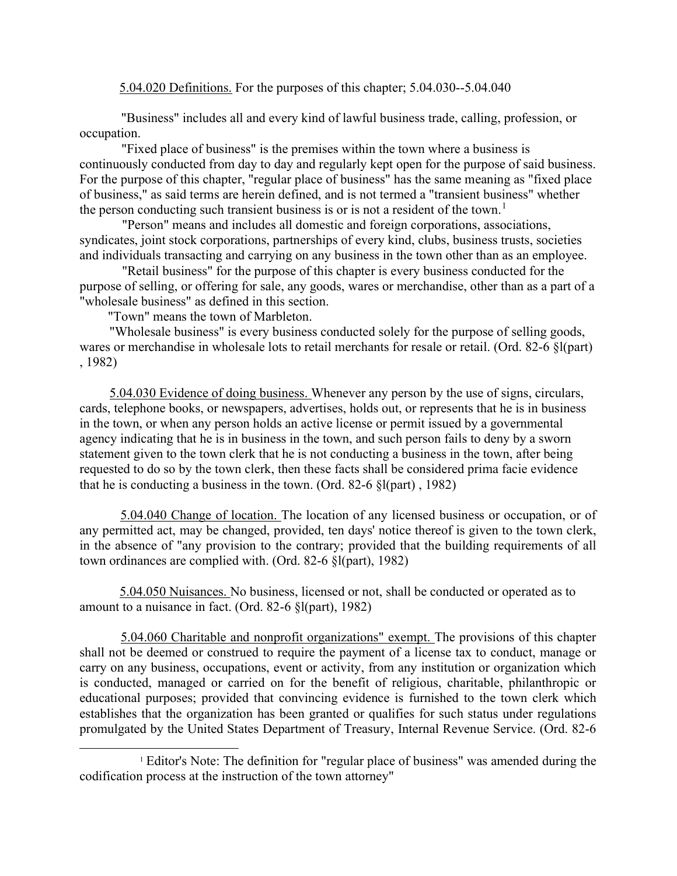5.04.020 Definitions. For the purposes of this chapter; 5.04.030--5.04.040

"Business" includes all and every kind of lawful business trade, calling, profession, or occupation.

"Fixed place of business" is the premises within the town where a business is continuously conducted from day to day and regularly kept open for the purpose of said business. For the purpose of this chapter, "regular place of business" has the same meaning as "fixed place of business," as said terms are herein defined, and is not termed a "transient business" whether the person conducting such transient business is or is not a resident of the town.<sup>1</sup>

"Person" means and includes all domestic and foreign corporations, associations, syndicates, joint stock corporations, partnerships of every kind, clubs, business trusts, societies and individuals transacting and carrying on any business in the town other than as an employee.

"Retail business" for the purpose of this chapter is every business conducted for the purpose of selling, or offering for sale, any goods, wares or merchandise, other than as a part of a "wholesale business" as defined in this section.

"Town" means the town of Marbleton.

"Wholesale business" is every business conducted solely for the purpose of selling goods, wares or merchandise in wholesale lots to retail merchants for resale or retail. (Ord. 82-6 §l(part) , 1982)

5.04.030 Evidence of doing business. Whenever any person by the use of signs, circulars, cards, telephone books, or newspapers, advertises, holds out, or represents that he is in business in the town, or when any person holds an active license or permit issued by a governmental agency indicating that he is in business in the town, and such person fails to deny by a sworn statement given to the town clerk that he is not conducting a business in the town, after being requested to do so by the town clerk, then these facts shall be considered prima facie evidence that he is conducting a business in the town. (Ord. 82-6 §l(part) , 1982)

5.04.040 Change of location. The location of any licensed business or occupation, or of any permitted act, may be changed, provided, ten days' notice thereof is given to the town clerk, in the absence of "any provision to the contrary; provided that the building requirements of all town ordinances are complied with. (Ord. 82-6 §l(part), 1982)

5.04.050 Nuisances. No business, licensed or not, shall be conducted or operated as to amount to a nuisance in fact. (Ord. 82-6 §l(part), 1982)

5.04.060 Charitable and nonprofit organizations" exempt. The provisions of this chapter shall not be deemed or construed to require the payment of a license tax to conduct, manage or carry on any business, occupations, event or activity, from any institution or organization which is conducted, managed or carried on for the benefit of religious, charitable, philanthropic or educational purposes; provided that convincing evidence is furnished to the town clerk which establishes that the organization has been granted or qualifies for such status under regulations promulgated by the United States Department of Treasury, Internal Revenue Service. (Ord. 82-6

<sup>1</sup> Editor's Note: The definition for "regular place of business" was amended during the codification process at the instruction of the town attorney"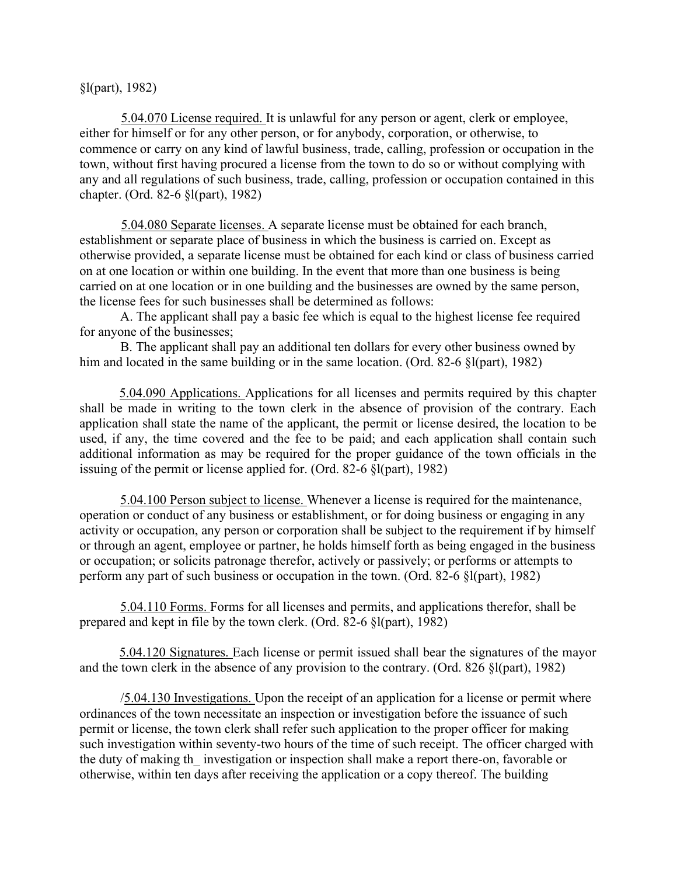§l(part), 1982)

5.04.070 License required. It is unlawful for any person or agent, clerk or employee, either for himself or for any other person, or for anybody, corporation, or otherwise, to commence or carry on any kind of lawful business, trade, calling, profession or occupation in the town, without first having procured a license from the town to do so or without complying with any and all regulations of such business, trade, calling, profession or occupation contained in this chapter. (Ord. 82-6 §l(part), 1982)

5.04.080 Separate licenses. A separate license must be obtained for each branch, establishment or separate place of business in which the business is carried on. Except as otherwise provided, a separate license must be obtained for each kind or class of business carried on at one location or within one building. In the event that more than one business is being carried on at one location or in one building and the businesses are owned by the same person, the license fees for such businesses shall be determined as follows:

A. The applicant shall pay a basic fee which is equal to the highest license fee required for anyone of the businesses;

B. The applicant shall pay an additional ten dollars for every other business owned by him and located in the same building or in the same location. (Ord. 82-6 §l(part), 1982)

5.04.090 Applications. Applications for all licenses and permits required by this chapter shall be made in writing to the town clerk in the absence of provision of the contrary. Each application shall state the name of the applicant, the permit or license desired, the location to be used, if any, the time covered and the fee to be paid; and each application shall contain such additional information as may be required for the proper guidance of the town officials in the issuing of the permit or license applied for. (Ord. 82-6 §l(part), 1982)

5.04.100 Person subject to license. Whenever a license is required for the maintenance, operation or conduct of any business or establishment, or for doing business or engaging in any activity or occupation, any person or corporation shall be subject to the requirement if by himself or through an agent, employee or partner, he holds himself forth as being engaged in the business or occupation; or solicits patronage therefor, actively or passively; or performs or attempts to perform any part of such business or occupation in the town. (Ord. 82-6 §l(part), 1982)

5.04.110 Forms. Forms for all licenses and permits, and applications therefor, shall be prepared and kept in file by the town clerk. (Ord. 82-6 §l(part), 1982)

5.04.120 Signatures. Each license or permit issued shall bear the signatures of the mayor and the town clerk in the absence of any provision to the contrary. (Ord. 826 §l(part), 1982)

/5.04.130 Investigations. Upon the receipt of an application for a license or permit where ordinances of the town necessitate an inspection or investigation before the issuance of such permit or license, the town clerk shall refer such application to the proper officer for making such investigation within seventy-two hours of the time of such receipt. The officer charged with the duty of making the investigation or inspection shall make a report there-on, favorable or otherwise, within ten days after receiving the application or a copy thereof. The building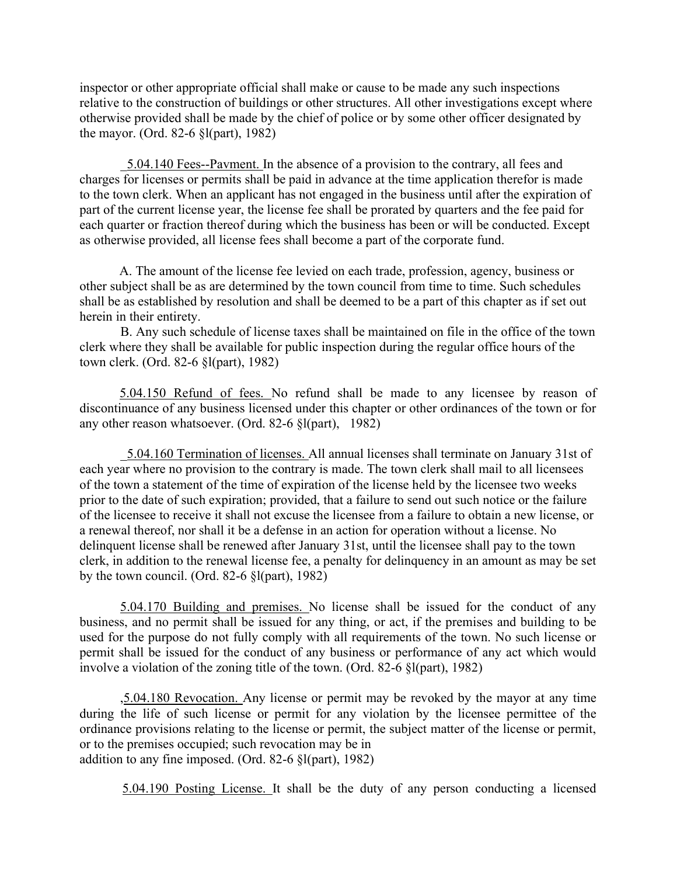inspector or other appropriate official shall make or cause to be made any such inspections relative to the construction of buildings or other structures. All other investigations except where otherwise provided shall be made by the chief of police or by some other officer designated by the mayor. (Ord. 82-6 §l(part), 1982)

\_5.04.140 Fees--Pavment. In the absence of a provision to the contrary, all fees and charges for licenses or permits shall be paid in advance at the time application therefor is made to the town clerk. When an applicant has not engaged in the business until after the expiration of part of the current license year, the license fee shall be prorated by quarters and the fee paid for each quarter or fraction thereof during which the business has been or will be conducted. Except as otherwise provided, all license fees shall become a part of the corporate fund.

A. The amount of the license fee levied on each trade, profession, agency, business or other subject shall be as are determined by the town council from time to time. Such schedules shall be as established by resolution and shall be deemed to be a part of this chapter as if set out herein in their entirety.

B. Any such schedule of license taxes shall be maintained on file in the office of the town clerk where they shall be available for public inspection during the regular office hours of the town clerk. (Ord. 82-6 §l(part), 1982)

5.04.150 Refund of fees. No refund shall be made to any licensee by reason of discontinuance of any business licensed under this chapter or other ordinances of the town or for any other reason whatsoever. (Ord. 82-6 §l(part), 1982)

\_5.04.160 Termination of licenses. All annual licenses shall terminate on January 31st of each year where no provision to the contrary is made. The town clerk shall mail to all licensees of the town a statement of the time of expiration of the license held by the licensee two weeks prior to the date of such expiration; provided, that a failure to send out such notice or the failure of the licensee to receive it shall not excuse the licensee from a failure to obtain a new license, or a renewal thereof, nor shall it be a defense in an action for operation without a license. No delinquent license shall be renewed after January 31st, until the licensee shall pay to the town clerk, in addition to the renewal license fee, a penalty for delinquency in an amount as may be set by the town council. (Ord. 82-6 §l(part), 1982)

5.04.170 Building and premises. No license shall be issued for the conduct of any business, and no permit shall be issued for any thing, or act, if the premises and building to be used for the purpose do not fully comply with all requirements of the town. No such license or permit shall be issued for the conduct of any business or performance of any act which would involve a violation of the zoning title of the town. (Ord. 82-6 §l(part), 1982)

,5.04.180 Revocation. Any license or permit may be revoked by the mayor at any time during the life of such license or permit for any violation by the licensee permittee of the ordinance provisions relating to the license or permit, the subject matter of the license or permit, or to the premises occupied; such revocation may be in addition to any fine imposed. (Ord. 82-6 §l(part), 1982)

5.04.190 Posting License. It shall be the duty of any person conducting a licensed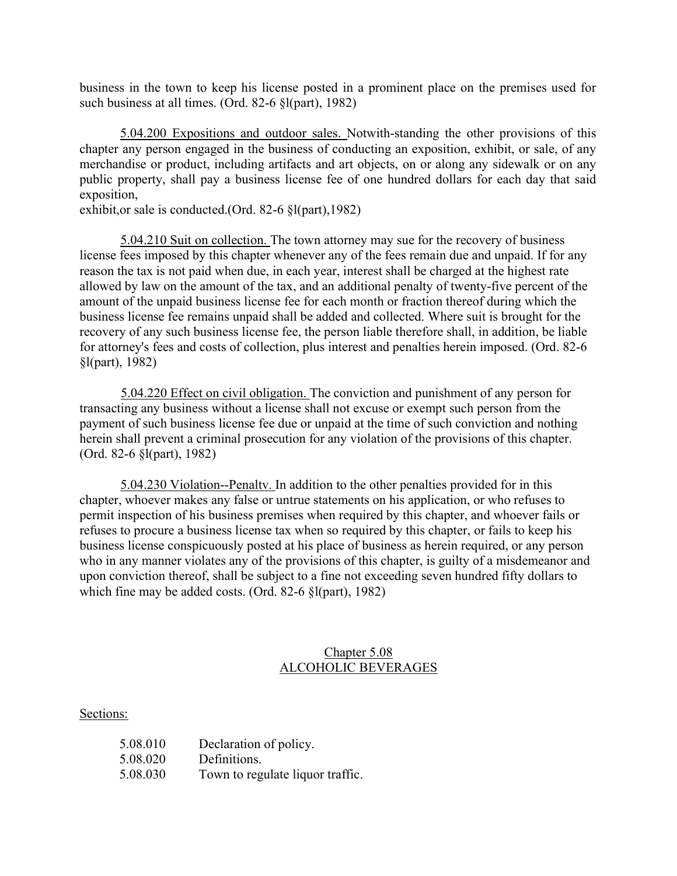business in the town to keep his license posted in a prominent place on the premises used for such business at all times. (Ord. 82-6 §l(part), 1982)

5.04.200 Expositions and outdoor sales. Notwith-standing the other provisions of this chapter any person engaged in the business of conducting an exposition, exhibit, or sale, of any merchandise or product, including artifacts and art objects, on or along any sidewalk or on any public property, shall pay a business license fee of one hundred dollars for each day that said exposition,

exhibit,or sale is conducted.(Ord. 82-6 §l(part),1982)

5.04.210 Suit on collection. The town attorney may sue for the recovery of business license fees imposed by this chapter whenever any of the fees remain due and unpaid. If for any reason the tax is not paid when due, in each year, interest shall be charged at the highest rate allowed by law on the amount of the tax, and an additional penalty of twenty-five percent of the amount of the unpaid business license fee for each month or fraction thereof during which the business license fee remains unpaid shall be added and collected. Where suit is brought for the recovery of any such business license fee, the person liable therefore shall, in addition, be liable for attorney's fees and costs of collection, plus interest and penalties herein imposed. (Ord. 82-6 §l(part), 1982)

5.04.220 Effect on civil obligation. The conviction and punishment of any person for transacting any business without a license shall not excuse or exempt such person from the payment of such business license fee due or unpaid at the time of such conviction and nothing herein shall prevent a criminal prosecution for any violation of the provisions of this chapter. (Ord. 82-6 §l(part), 1982)

5.04.230 Violation--Penaltv. In addition to the other penalties provided for in this chapter, whoever makes any false or untrue statements on his application, or who refuses to permit inspection of his business premises when required by this chapter, and whoever fails or refuses to procure a business license tax when so required by this chapter, or fails to keep his business license conspicuously posted at his place of business as herein required, or any person who in any manner violates any of the provisions of this chapter, is guilty of a misdemeanor and upon conviction thereof, shall be subject to a fine not exceeding seven hundred fifty dollars to which fine may be added costs. (Ord. 82-6 §l(part), 1982)

# Chapter 5.08 ALCOHOLIC BEVERAGES

## Sections:

| 5.08.010 | Declaration of policy.           |
|----------|----------------------------------|
| 5.08.020 | Definitions.                     |
| 5.08.030 | Town to regulate liquor traffic. |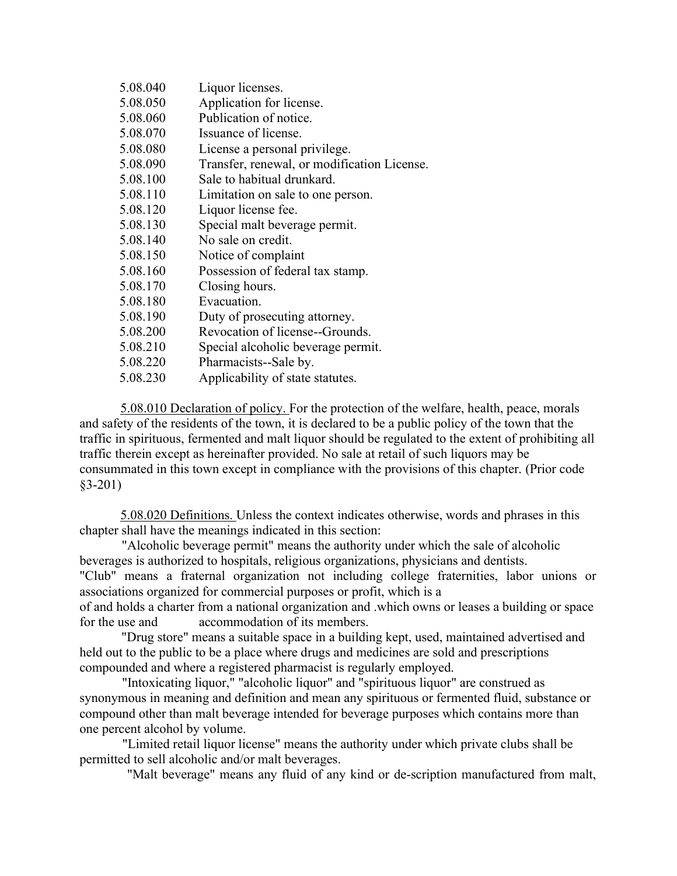| Liquor licenses.                            |
|---------------------------------------------|
| Application for license.                    |
| Publication of notice.                      |
| Issuance of license.                        |
| License a personal privilege.               |
| Transfer, renewal, or modification License. |
| Sale to habitual drunkard.                  |
| Limitation on sale to one person.           |
| Liquor license fee.                         |
| Special malt beverage permit.               |
| No sale on credit.                          |
| Notice of complaint                         |
| Possession of federal tax stamp.            |
| Closing hours.                              |
| Evacuation.                                 |
| Duty of prosecuting attorney.               |
| Revocation of license--Grounds.             |
| Special alcoholic beverage permit.          |
| Pharmacists--Sale by.                       |
| Applicability of state statutes.            |
|                                             |

5.08.010 Declaration of policy. For the protection of the welfare, health, peace, morals and safety of the residents of the town, it is declared to be a public policy of the town that the traffic in spirituous, fermented and malt liquor should be regulated to the extent of prohibiting all traffic therein except as hereinafter provided. No sale at retail of such liquors may be consummated in this town except in compliance with the provisions of this chapter. (Prior code §3-201)

5.08.020 Definitions. Unless the context indicates otherwise, words and phrases in this chapter shall have the meanings indicated in this section:

"Alcoholic beverage permit" means the authority under which the sale of alcoholic beverages is authorized to hospitals, religious organizations, physicians and dentists. "Club" means a fraternal organization not including college fraternities, labor unions or

associations organized for commercial purposes or profit, which is a

of and holds a charter from a national organization and .which owns or leases a building or space for the use and accommodation of its members.

"Drug store" means a suitable space in a building kept, used, maintained advertised and held out to the public to be a place where drugs and medicines are sold and prescriptions compounded and where a registered pharmacist is regularly employed.

"Intoxicating liquor," "alcoholic liquor" and "spirituous liquor" are construed as synonymous in meaning and definition and mean any spirituous or fermented fluid, substance or compound other than malt beverage intended for beverage purposes which contains more than one percent alcohol by volume.

"Limited retail liquor license" means the authority under which private clubs shall be permitted to sell alcoholic and/or malt beverages.

"Malt beverage" means any fluid of any kind or de-scription manufactured from malt,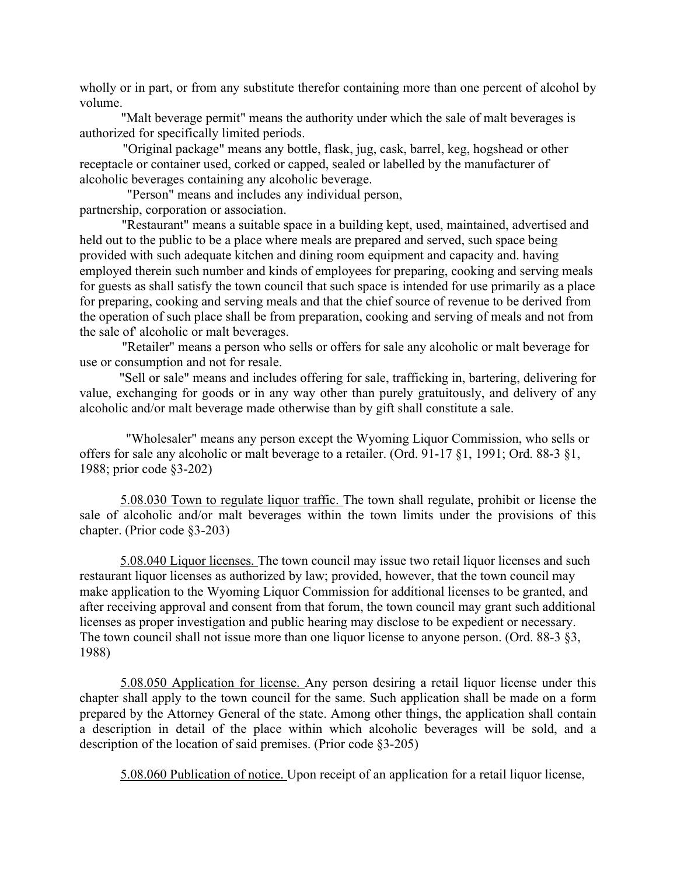wholly or in part, or from any substitute therefor containing more than one percent of alcohol by volume.

"Malt beverage permit" means the authority under which the sale of malt beverages is authorized for specifically limited periods.

"Original package" means any bottle, flask, jug, cask, barrel, keg, hogshead or other receptacle or container used, corked or capped, sealed or labelled by the manufacturer of alcoholic beverages containing any alcoholic beverage.

 "Person" means and includes any individual person, partnership, corporation or association.

"Restaurant" means a suitable space in a building kept, used, maintained, advertised and held out to the public to be a place where meals are prepared and served, such space being provided with such adequate kitchen and dining room equipment and capacity and. having employed therein such number and kinds of employees for preparing, cooking and serving meals for guests as shall satisfy the town council that such space is intended for use primarily as a place for preparing, cooking and serving meals and that the chief source of revenue to be derived from the operation of such place shall be from preparation, cooking and serving of meals and not from the sale of' alcoholic or malt beverages.

"Retailer" means a person who sells or offers for sale any alcoholic or malt beverage for use or consumption and not for resale.

 "Sell or sale" means and includes offering for sale, trafficking in, bartering, delivering for value, exchanging for goods or in any way other than purely gratuitously, and delivery of any alcoholic and/or malt beverage made otherwise than by gift shall constitute a sale.

 "Wholesaler" means any person except the Wyoming Liquor Commission, who sells or offers for sale any alcoholic or malt beverage to a retailer. (Ord. 91-17 §1, 1991; Ord. 88-3 §1, 1988; prior code §3-202)

5.08.030 Town to regulate liquor traffic. The town shall regulate, prohibit or license the sale of alcoholic and/or malt beverages within the town limits under the provisions of this chapter. (Prior code §3-203)

5.08.040 Liquor licenses. The town council may issue two retail liquor licenses and such restaurant liquor licenses as authorized by law; provided, however, that the town council may make application to the Wyoming Liquor Commission for additional licenses to be granted, and after receiving approval and consent from that forum, the town council may grant such additional licenses as proper investigation and public hearing may disclose to be expedient or necessary. The town council shall not issue more than one liquor license to anyone person. (Ord. 88-3 §3, 1988)

5.08.050 Application for license. Any person desiring a retail liquor license under this chapter shall apply to the town council for the same. Such application shall be made on a form prepared by the Attorney General of the state. Among other things, the application shall contain a description in detail of the place within which alcoholic beverages will be sold, and a description of the location of said premises. (Prior code §3-205)

5.08.060 Publication of notice. Upon receipt of an application for a retail liquor license,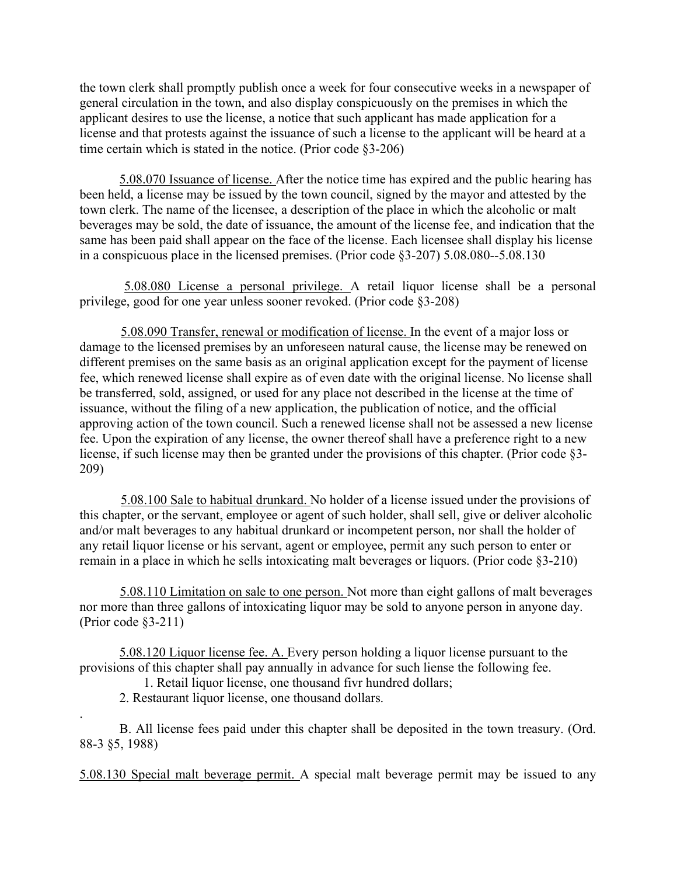the town clerk shall promptly publish once a week for four consecutive weeks in a newspaper of general circulation in the town, and also display conspicuously on the premises in which the applicant desires to use the license, a notice that such applicant has made application for a license and that protests against the issuance of such a license to the applicant will be heard at a time certain which is stated in the notice. (Prior code §3-206)

5.08.070 Issuance of license. After the notice time has expired and the public hearing has been held, a license may be issued by the town council, signed by the mayor and attested by the town clerk. The name of the licensee, a description of the place in which the alcoholic or malt beverages may be sold, the date of issuance, the amount of the license fee, and indication that the same has been paid shall appear on the face of the license. Each licensee shall display his license in a conspicuous place in the licensed premises. (Prior code §3-207) 5.08.080--5.08.130

 5.08.080 License a personal privilege. A retail liquor license shall be a personal privilege, good for one year unless sooner revoked. (Prior code §3-208)

5.08.090 Transfer, renewal or modification of license. In the event of a major loss or damage to the licensed premises by an unforeseen natural cause, the license may be renewed on different premises on the same basis as an original application except for the payment of license fee, which renewed license shall expire as of even date with the original license. No license shall be transferred, sold, assigned, or used for any place not described in the license at the time of issuance, without the filing of a new application, the publication of notice, and the official approving action of the town council. Such a renewed license shall not be assessed a new license fee. Upon the expiration of any license, the owner thereof shall have a preference right to a new license, if such license may then be granted under the provisions of this chapter. (Prior code §3- 209)

5.08.100 Sale to habitual drunkard. No holder of a license issued under the provisions of this chapter, or the servant, employee or agent of such holder, shall sell, give or deliver alcoholic and/or malt beverages to any habitual drunkard or incompetent person, nor shall the holder of any retail liquor license or his servant, agent or employee, permit any such person to enter or remain in a place in which he sells intoxicating malt beverages or liquors. (Prior code §3-210)

5.08.110 Limitation on sale to one person. Not more than eight gallons of malt beverages nor more than three gallons of intoxicating liquor may be sold to anyone person in anyone day. (Prior code §3-211)

5.08.120 Liquor license fee. A. Every person holding a liquor license pursuant to the provisions of this chapter shall pay annually in advance for such liense the following fee.

1. Retail liquor license, one thousand fivr hundred dollars;

2. Restaurant liquor license, one thousand dollars.

.

 B. All license fees paid under this chapter shall be deposited in the town treasury. (Ord. 88-3 §5, 1988)

5.08.130 Special malt beverage permit. A special malt beverage permit may be issued to any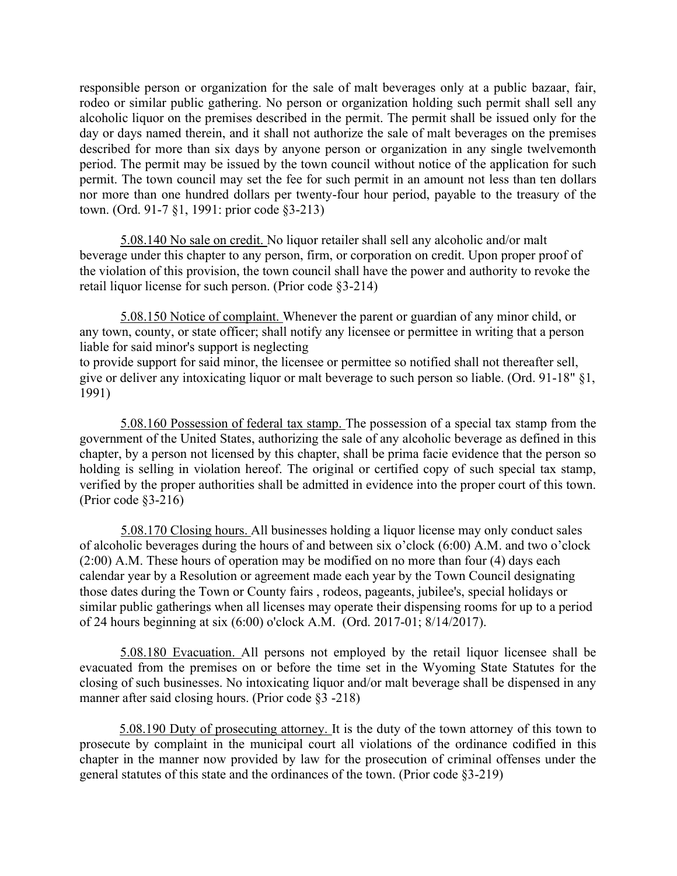responsible person or organization for the sale of malt beverages only at a public bazaar, fair, rodeo or similar public gathering. No person or organization holding such permit shall sell any alcoholic liquor on the premises described in the permit. The permit shall be issued only for the day or days named therein, and it shall not authorize the sale of malt beverages on the premises described for more than six days by anyone person or organization in any single twelvemonth period. The permit may be issued by the town council without notice of the application for such permit. The town council may set the fee for such permit in an amount not less than ten dollars nor more than one hundred dollars per twenty-four hour period, payable to the treasury of the town. (Ord. 91-7 §1, 1991: prior code §3-213)

5.08.140 No sale on credit. No liquor retailer shall sell any alcoholic and/or malt beverage under this chapter to any person, firm, or corporation on credit. Upon proper proof of the violation of this provision, the town council shall have the power and authority to revoke the retail liquor license for such person. (Prior code §3-214)

5.08.150 Notice of complaint. Whenever the parent or guardian of any minor child, or any town, county, or state officer; shall notify any licensee or permittee in writing that a person liable for said minor's support is neglecting to provide support for said minor, the licensee or permittee so notified shall not thereafter sell, give or deliver any intoxicating liquor or malt beverage to such person so liable. (Ord. 91-18" §1, 1991)

5.08.160 Possession of federal tax stamp. The possession of a special tax stamp from the government of the United States, authorizing the sale of any alcoholic beverage as defined in this chapter, by a person not licensed by this chapter, shall be prima facie evidence that the person so holding is selling in violation hereof. The original or certified copy of such special tax stamp, verified by the proper authorities shall be admitted in evidence into the proper court of this town. (Prior code §3-216)

5.08.170 Closing hours. All businesses holding a liquor license may only conduct sales of alcoholic beverages during the hours of and between six o'clock (6:00) A.M. and two o'clock (2:00) A.M. These hours of operation may be modified on no more than four (4) days each calendar year by a Resolution or agreement made each year by the Town Council designating those dates during the Town or County fairs , rodeos, pageants, jubilee's, special holidays or similar public gatherings when all licenses may operate their dispensing rooms for up to a period of 24 hours beginning at six (6:00) o'clock A.M. (Ord. 2017-01; 8/14/2017).

5.08.180 Evacuation. All persons not employed by the retail liquor licensee shall be evacuated from the premises on or before the time set in the Wyoming State Statutes for the closing of such businesses. No intoxicating liquor and/or malt beverage shall be dispensed in any manner after said closing hours. (Prior code §3 -218)

5.08.190 Duty of prosecuting attorney. It is the duty of the town attorney of this town to prosecute by complaint in the municipal court all violations of the ordinance codified in this chapter in the manner now provided by law for the prosecution of criminal offenses under the general statutes of this state and the ordinances of the town. (Prior code §3-219)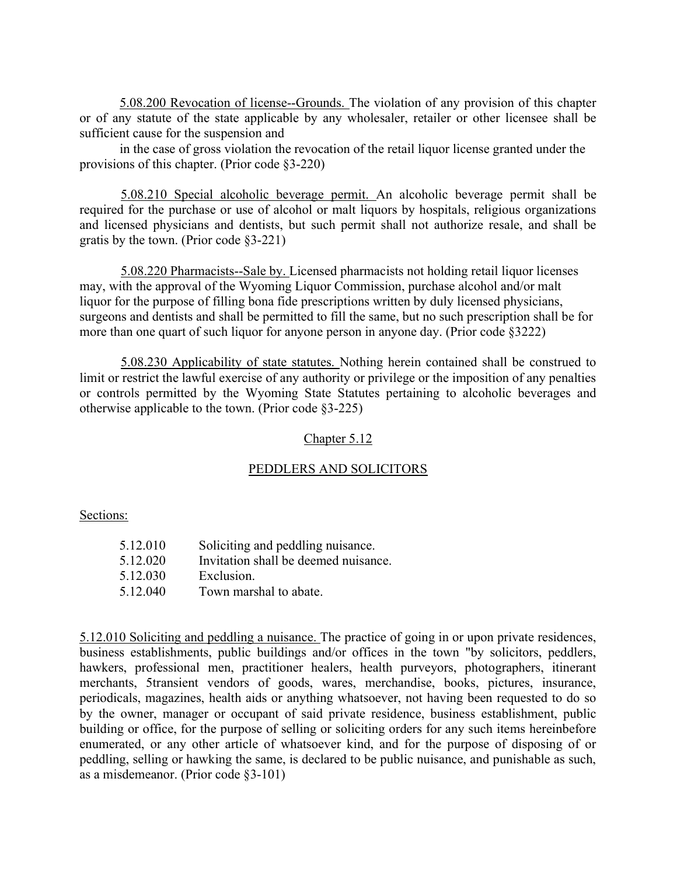5.08.200 Revocation of license--Grounds. The violation of any provision of this chapter or of any statute of the state applicable by any wholesaler, retailer or other licensee shall be sufficient cause for the suspension and

in the case of gross violation the revocation of the retail liquor license granted under the provisions of this chapter. (Prior code §3-220)

5.08.210 Special alcoholic beverage permit. An alcoholic beverage permit shall be required for the purchase or use of alcohol or malt liquors by hospitals, religious organizations and licensed physicians and dentists, but such permit shall not authorize resale, and shall be gratis by the town. (Prior code §3-221)

5.08.220 Pharmacists--Sale by. Licensed pharmacists not holding retail liquor licenses may, with the approval of the Wyoming Liquor Commission, purchase alcohol and/or malt liquor for the purpose of filling bona fide prescriptions written by duly licensed physicians, surgeons and dentists and shall be permitted to fill the same, but no such prescription shall be for more than one quart of such liquor for anyone person in anyone day. (Prior code §3222)

5.08.230 Applicability of state statutes. Nothing herein contained shall be construed to limit or restrict the lawful exercise of any authority or privilege or the imposition of any penalties or controls permitted by the Wyoming State Statutes pertaining to alcoholic beverages and otherwise applicable to the town. (Prior code §3-225)

### Chapter 5.12

## PEDDLERS AND SOLICITORS

Sections:

| 5.12.010 | Soliciting and peddling nuisance.    |
|----------|--------------------------------------|
| 5.12.020 | Invitation shall be deemed nuisance. |
| 5.12.030 | Exclusion.                           |
| 5.12.040 | Town marshal to abate.               |

5.12.010 Soliciting and peddling a nuisance. The practice of going in or upon private residences, business establishments, public buildings and/or offices in the town "by solicitors, peddlers, hawkers, professional men, practitioner healers, health purveyors, photographers, itinerant merchants, 5transient vendors of goods, wares, merchandise, books, pictures, insurance, periodicals, magazines, health aids or anything whatsoever, not having been requested to do so by the owner, manager or occupant of said private residence, business establishment, public building or office, for the purpose of selling or soliciting orders for any such items hereinbefore enumerated, or any other article of whatsoever kind, and for the purpose of disposing of or peddling, selling or hawking the same, is declared to be public nuisance, and punishable as such, as a misdemeanor. (Prior code §3-101)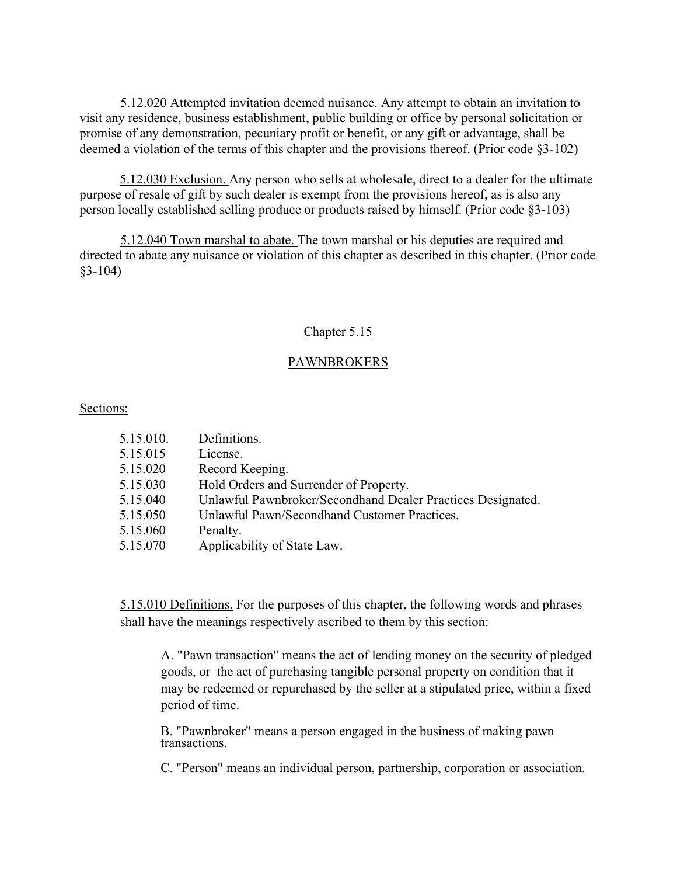5.12.020 Attempted invitation deemed nuisance. Any attempt to obtain an invitation to visit any residence, business establishment, public building or office by personal solicitation or promise of any demonstration, pecuniary profit or benefit, or any gift or advantage, shall be deemed a violation of the terms of this chapter and the provisions thereof. (Prior code §3-102)

5.12.030 Exclusion. Any person who sells at wholesale, direct to a dealer for the ultimate purpose of resale of gift by such dealer is exempt from the provisions hereof, as is also any person locally established selling produce or products raised by himself. (Prior code §3-103)

5.12.040 Town marshal to abate. The town marshal or his deputies are required and directed to abate any nuisance or violation of this chapter as described in this chapter. (Prior code §3-104)

# Chapter 5.15

# **PAWNBROKERS**

### Sections:

| 5.15.010. | Definitions.                                                |
|-----------|-------------------------------------------------------------|
| 5.15.015  | License.                                                    |
| 5.15.020  | Record Keeping.                                             |
| 5.15.030  | Hold Orders and Surrender of Property.                      |
| 5.15.040  | Unlawful Pawnbroker/Secondhand Dealer Practices Designated. |
| 5.15.050  | Unlawful Pawn/Secondhand Customer Practices.                |
| 5.15.060  | Penalty.                                                    |
| 5.15.070  | Applicability of State Law.                                 |
|           |                                                             |

5.15.010 Definitions. For the purposes of this chapter, the following words and phrases shall have the meanings respectively ascribed to them by this section:

A. "Pawn transaction" means the act of lending money on the security of pledged goods, or the act of purchasing tangible personal property on condition that it may be redeemed or repurchased by the seller at a stipulated price, within a fixed period of time.

B. "Pawnbroker" means a person engaged in the business of making pawn transactions.

C. "Person" means an individual person, partnership, corporation or association.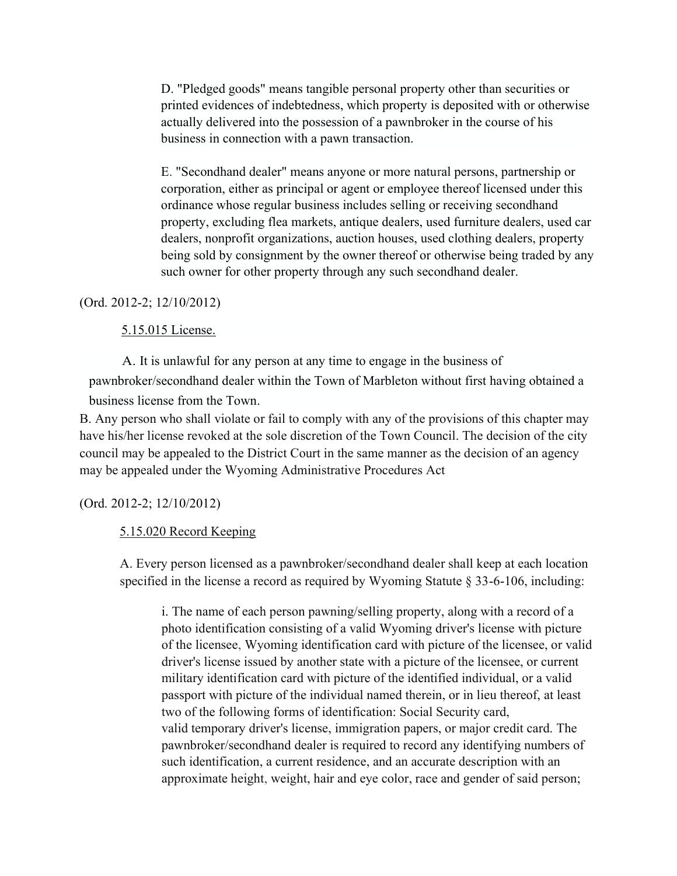D. "Pledged goods" means tangible personal property other than securities or printed evidences of indebtedness, which property is deposited with or otherwise actually delivered into the possession of a pawnbroker in the course of his business in connection with a pawn transaction.

E. "Secondhand dealer" means anyone or more natural persons, partnership or corporation, either as principal or agent or employee thereof licensed under this ordinance whose regular business includes selling or receiving secondhand property, excluding flea markets, antique dealers, used furniture dealers, used car dealers, nonprofit organizations, auction houses, used clothing dealers, property being sold by consignment by the owner thereof or otherwise being traded by any such owner for other property through any such secondhand dealer.

### (Ord. 2012-2; 12/10/2012)

### 5.15.015 License.

A. It is unlawful for any person at any time to engage in the business of pawnbroker/secondhand dealer within the Town of Marbleton without first having obtained a business license from the Town.

B. Any person who shall violate or fail to comply with any of the provisions of this chapter may have his/her license revoked at the sole discretion of the Town Council. The decision of the city council may be appealed to the District Court in the same manner as the decision of an agency may be appealed under the Wyoming Administrative Procedures Act

### (Ord. 2012-2; 12/10/2012)

### 5.15.020 Record Keeping

A. Every person licensed as a pawnbroker/secondhand dealer shall keep at each location specified in the license a record as required by Wyoming Statute  $\S 33-6-106$ , including:

i. The name of each person pawning/selling property, along with a record of a photo identification consisting of a valid Wyoming driver's license with picture of the licensee, Wyoming identification card with picture of the licensee, or valid driver's license issued by another state with a picture of the licensee, or current military identification card with picture of the identified individual, or a valid passport with picture of the individual named therein, or in lieu thereof, at least two of the following forms of identification: Social Security card, valid temporary driver's license, immigration papers, or major credit card. The pawnbroker/secondhand dealer is required to record any identifying numbers of such identification, a current residence, and an accurate description with an approximate height, weight, hair and eye color, race and gender of said person;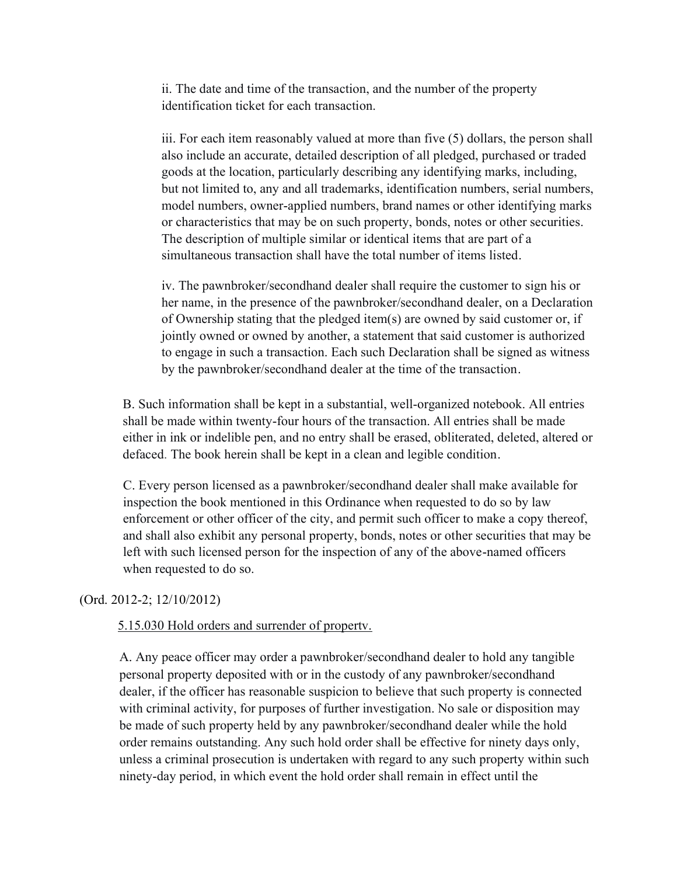ii. The date and time of the transaction, and the number of the property identification ticket for each transaction.

iii. For each item reasonably valued at more than five (5) dollars, the person shall also include an accurate, detailed description of all pledged, purchased or traded goods at the location, particularly describing any identifying marks, including, but not limited to, any and all trademarks, identification numbers, serial numbers, model numbers, owner-applied numbers, brand names or other identifying marks or characteristics that may be on such property, bonds, notes or other securities. The description of multiple similar or identical items that are part of a simultaneous transaction shall have the total number of items listed.

iv. The pawnbroker/secondhand dealer shall require the customer to sign his or her name, in the presence of the pawnbroker/secondhand dealer, on a Declaration of Ownership stating that the pledged item(s) are owned by said customer or, if jointly owned or owned by another, a statement that said customer is authorized to engage in such a transaction. Each such Declaration shall be signed as witness by the pawnbroker/secondhand dealer at the time of the transaction.

B. Such information shall be kept in a substantial, well-organized notebook. All entries shall be made within twenty-four hours of the transaction. All entries shall be made either in ink or indelible pen, and no entry shall be erased, obliterated, deleted, altered or defaced. The book herein shall be kept in a clean and legible condition.

C. Every person licensed as a pawnbroker/secondhand dealer shall make available for inspection the book mentioned in this Ordinance when requested to do so by law enforcement or other officer of the city, and permit such officer to make a copy thereof, and shall also exhibit any personal property, bonds, notes or other securities that may be left with such licensed person for the inspection of any of the above-named officers when requested to do so.

## (Ord. 2012-2; 12/10/2012)

### 5.15.030 Hold orders and surrender of propertv.

A. Any peace officer may order a pawnbroker/secondhand dealer to hold any tangible personal property deposited with or in the custody of any pawnbroker/secondhand dealer, if the officer has reasonable suspicion to believe that such property is connected with criminal activity, for purposes of further investigation. No sale or disposition may be made of such property held by any pawnbroker/secondhand dealer while the hold order remains outstanding. Any such hold order shall be effective for ninety days only, unless a criminal prosecution is undertaken with regard to any such property within such ninety-day period, in which event the hold order shall remain in effect until the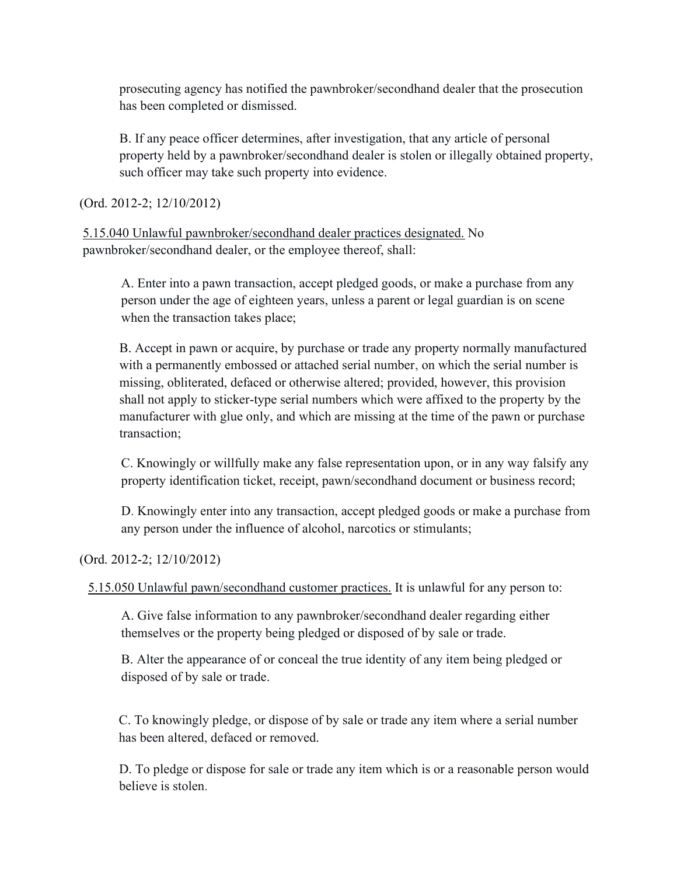prosecuting agency has notified the pawnbroker/secondhand dealer that the prosecution has been completed or dismissed.

B. If any peace officer determines, after investigation, that any article of personal property held by a pawnbroker/secondhand dealer is stolen or illegally obtained property, such officer may take such property into evidence.

(Ord. 2012-2; 12/10/2012)

5.15.040 Unlawful pawnbroker/secondhand dealer practices designated. No pawnbroker/secondhand dealer, or the employee thereof, shall:

A. Enter into a pawn transaction, accept pledged goods, or make a purchase from any person under the age of eighteen years, unless a parent or legal guardian is on scene when the transaction takes place;

B. Accept in pawn or acquire, by purchase or trade any property normally manufactured with a permanently embossed or attached serial number, on which the serial number is missing, obliterated, defaced or otherwise altered; provided, however, this provision shall not apply to sticker-type serial numbers which were affixed to the property by the manufacturer with glue only, and which are missing at the time of the pawn or purchase transaction;

C. Knowingly or willfully make any false representation upon, or in any way falsify any property identification ticket, receipt, pawn/secondhand document or business record;

D. Knowingly enter into any transaction, accept pledged goods or make a purchase from any person under the influence of alcohol, narcotics or stimulants;

(Ord. 2012-2; 12/10/2012)

5.15.050 Unlawful pawn/secondhand customer practices. It is unlawful for any person to:

A. Give false information to any pawnbroker/secondhand dealer regarding either themselves or the property being pledged or disposed of by sale or trade.

B. Alter the appearance of or conceal the true identity of any item being pledged or disposed of by sale or trade.

C. To knowingly pledge, or dispose of by sale or trade any item where a serial number has been altered, defaced or removed.

D. To pledge or dispose for sale or trade any item which is or a reasonable person would believe is stolen.